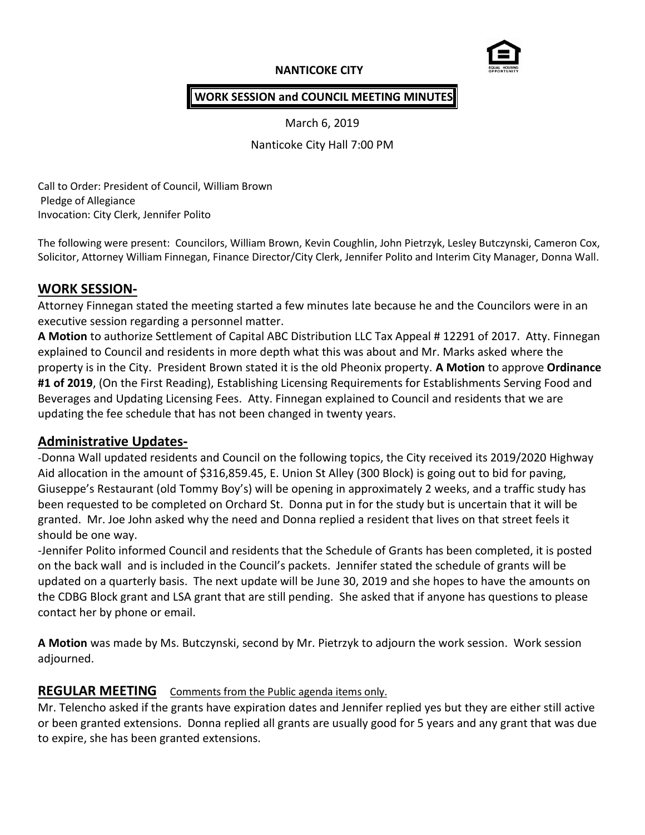# **NANTICOKE CITY**



### **WORK SESSION and COUNCIL MEETING MINUTES**

March 6, 2019

Nanticoke City Hall 7:00 PM

Call to Order: President of Council, William Brown Pledge of Allegiance Invocation: City Clerk, Jennifer Polito

The following were present: Councilors, William Brown, Kevin Coughlin, John Pietrzyk, Lesley Butczynski, Cameron Cox, Solicitor, Attorney William Finnegan, Finance Director/City Clerk, Jennifer Polito and Interim City Manager, Donna Wall.

## **WORK SESSION-**

Attorney Finnegan stated the meeting started a few minutes late because he and the Councilors were in an executive session regarding a personnel matter.

**A Motion** to authorize Settlement of Capital ABC Distribution LLC Tax Appeal # 12291 of 2017. Atty. Finnegan explained to Council and residents in more depth what this was about and Mr. Marks asked where the property is in the City. President Brown stated it is the old Pheonix property. **A Motion** to approve **Ordinance #1 of 2019**, (On the First Reading), Establishing Licensing Requirements for Establishments Serving Food and Beverages and Updating Licensing Fees. Atty. Finnegan explained to Council and residents that we are updating the fee schedule that has not been changed in twenty years.

## **Administrative Updates-**

-Donna Wall updated residents and Council on the following topics, the City received its 2019/2020 Highway Aid allocation in the amount of \$316,859.45, E. Union St Alley (300 Block) is going out to bid for paving, Giuseppe's Restaurant (old Tommy Boy's) will be opening in approximately 2 weeks, and a traffic study has been requested to be completed on Orchard St. Donna put in for the study but is uncertain that it will be granted. Mr. Joe John asked why the need and Donna replied a resident that lives on that street feels it should be one way.

-Jennifer Polito informed Council and residents that the Schedule of Grants has been completed, it is posted on the back wall and is included in the Council's packets. Jennifer stated the schedule of grants will be updated on a quarterly basis. The next update will be June 30, 2019 and she hopes to have the amounts on the CDBG Block grant and LSA grant that are still pending. She asked that if anyone has questions to please contact her by phone or email.

**A Motion** was made by Ms. Butczynski, second by Mr. Pietrzyk to adjourn the work session. Work session adjourned.

## **REGULAR MEETING** Comments from the Public agenda items only.

Mr. Telencho asked if the grants have expiration dates and Jennifer replied yes but they are either still active or been granted extensions. Donna replied all grants are usually good for 5 years and any grant that was due to expire, she has been granted extensions.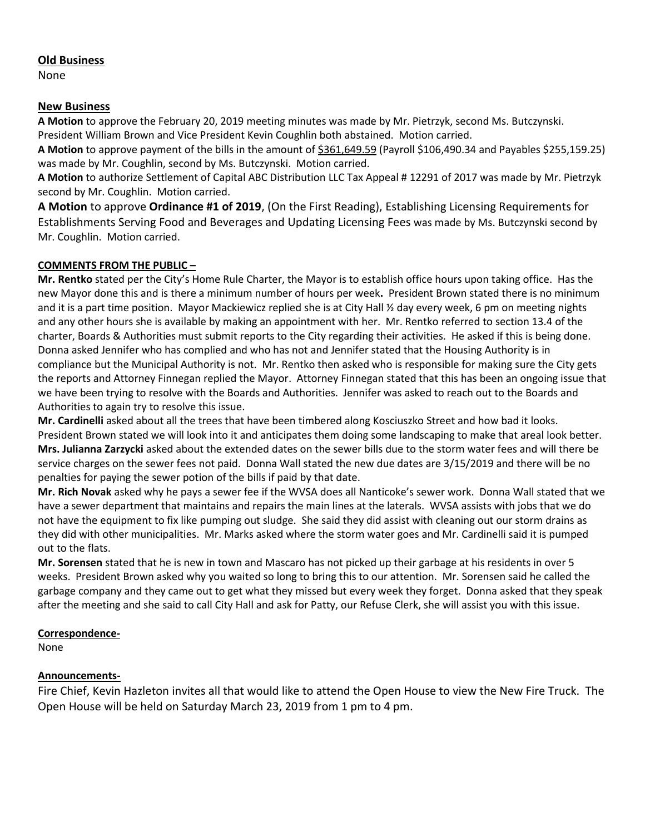### **Old Business**

None

### **New Business**

**A Motion** to approve the February 20, 2019 meeting minutes was made by Mr. Pietrzyk, second Ms. Butczynski. President William Brown and Vice President Kevin Coughlin both abstained. Motion carried.

**A Motion** to approve payment of the bills in the amount of \$361,649.59 (Payroll \$106,490.34 and Payables \$255,159.25) was made by Mr. Coughlin, second by Ms. Butczynski. Motion carried.

**A Motion** to authorize Settlement of Capital ABC Distribution LLC Tax Appeal # 12291 of 2017 was made by Mr. Pietrzyk second by Mr. Coughlin. Motion carried.

**A Motion** to approve **Ordinance #1 of 2019**, (On the First Reading), Establishing Licensing Requirements for Establishments Serving Food and Beverages and Updating Licensing Fees was made by Ms. Butczynski second by Mr. Coughlin. Motion carried.

### **COMMENTS FROM THE PUBLIC –**

**Mr. Rentko** stated per the City's Home Rule Charter, the Mayor is to establish office hours upon taking office. Has the new Mayor done this and is there a minimum number of hours per week**.** President Brown stated there is no minimum and it is a part time position. Mayor Mackiewicz replied she is at City Hall % day every week, 6 pm on meeting nights and any other hours she is available by making an appointment with her. Mr. Rentko referred to section 13.4 of the charter, Boards & Authorities must submit reports to the City regarding their activities. He asked if this is being done. Donna asked Jennifer who has complied and who has not and Jennifer stated that the Housing Authority is in compliance but the Municipal Authority is not. Mr. Rentko then asked who is responsible for making sure the City gets the reports and Attorney Finnegan replied the Mayor. Attorney Finnegan stated that this has been an ongoing issue that we have been trying to resolve with the Boards and Authorities. Jennifer was asked to reach out to the Boards and Authorities to again try to resolve this issue.

**Mr. Cardinelli** asked about all the trees that have been timbered along Kosciuszko Street and how bad it looks. President Brown stated we will look into it and anticipates them doing some landscaping to make that areal look better. **Mrs. Julianna Zarzycki** asked about the extended dates on the sewer bills due to the storm water fees and will there be service charges on the sewer fees not paid. Donna Wall stated the new due dates are 3/15/2019 and there will be no penalties for paying the sewer potion of the bills if paid by that date.

**Mr. Rich Novak** asked why he pays a sewer fee if the WVSA does all Nanticoke's sewer work. Donna Wall stated that we have a sewer department that maintains and repairs the main lines at the laterals. WVSA assists with jobs that we do not have the equipment to fix like pumping out sludge. She said they did assist with cleaning out our storm drains as they did with other municipalities. Mr. Marks asked where the storm water goes and Mr. Cardinelli said it is pumped out to the flats.

**Mr. Sorensen** stated that he is new in town and Mascaro has not picked up their garbage at his residents in over 5 weeks. President Brown asked why you waited so long to bring this to our attention. Mr. Sorensen said he called the garbage company and they came out to get what they missed but every week they forget. Donna asked that they speak after the meeting and she said to call City Hall and ask for Patty, our Refuse Clerk, she will assist you with this issue.

### **Correspondence-**

None

## **Announcements-**

Fire Chief, Kevin Hazleton invites all that would like to attend the Open House to view the New Fire Truck. The Open House will be held on Saturday March 23, 2019 from 1 pm to 4 pm.